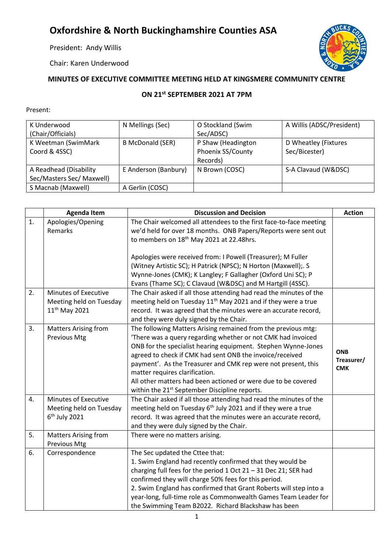## **Oxfordshire & North Buckinghamshire Counties ASA**

President: Andy Willis

Chair: Karen Underwood



## **MINUTES OF EXECUTIVE COMMITTEE MEETING HELD AT KINGSMERE COMMUNITY CENTRE**

## **ON 21st SEPTEMBER 2021 AT 7PM**

## Present:

| K Underwood               | N Mellings (Sec)        | O Stockland (Swim  | A Willis (ADSC/President) |
|---------------------------|-------------------------|--------------------|---------------------------|
| (Chair/Officials)         |                         | Sec/ADSC)          |                           |
| K Weetman (SwimMark       | <b>B McDonald (SER)</b> | P Shaw (Headington | D Wheatley (Fixtures      |
| Coord & 4SSC)             |                         | Phoenix SS/County  | Sec/Bicester)             |
|                           |                         | Records)           |                           |
| A Readhead (Disability    | E Anderson (Banbury)    | N Brown (COSC)     | S-A Clavaud (W&DSC)       |
| Sec/Masters Sec/ Maxwell) |                         |                    |                           |
| S Macnab (Maxwell)        | A Gerlin (COSC)         |                    |                           |

|    | <b>Agenda Item</b>                         | <b>Discussion and Decision</b>                                                                                         | <b>Action</b> |
|----|--------------------------------------------|------------------------------------------------------------------------------------------------------------------------|---------------|
| 1. | Apologies/Opening                          | The Chair welcomed all attendees to the first face-to-face meeting                                                     |               |
|    | Remarks                                    | we'd held for over 18 months. ONB Papers/Reports were sent out<br>to members on 18 <sup>th</sup> May 2021 at 22.48hrs. |               |
|    |                                            |                                                                                                                        |               |
|    |                                            | Apologies were received from: I Powell (Treasurer); M Fuller                                                           |               |
|    |                                            | (Witney Artistic SC); H Patrick (NPSC); N Horton (Maxwell);. S                                                         |               |
|    |                                            | Wynne-Jones (CMK); K Langley; F Gallagher (Oxford Uni SC); P                                                           |               |
|    |                                            | Evans (Thame SC); C Clavaud (W&DSC) and M Hartgill (4SSC).                                                             |               |
| 2. | Minutes of Executive                       | The Chair asked if all those attending had read the minutes of the                                                     |               |
|    | Meeting held on Tuesday                    | meeting held on Tuesday 11 <sup>th</sup> May 2021 and if they were a true                                              |               |
|    | 11 <sup>th</sup> May 2021                  | record. It was agreed that the minutes were an accurate record,                                                        |               |
|    |                                            | and they were duly signed by the Chair.                                                                                |               |
| 3. | Matters Arising from                       | The following Matters Arising remained from the previous mtg:                                                          |               |
|    | <b>Previous Mtg</b>                        | 'There was a query regarding whether or not CMK had invoiced                                                           |               |
|    |                                            | ONB for the specialist hearing equipment. Stephen Wynne-Jones                                                          | <b>ONB</b>    |
|    |                                            | agreed to check if CMK had sent ONB the invoice/received                                                               | Treasurer/    |
|    |                                            | payment'. As the Treasurer and CMK rep were not present, this                                                          | <b>CMK</b>    |
|    |                                            | matter requires clarification.                                                                                         |               |
|    |                                            | All other matters had been actioned or were due to be covered                                                          |               |
|    |                                            | within the 21 <sup>st</sup> September Discipline reports.                                                              |               |
| 4. | Minutes of Executive                       | The Chair asked if all those attending had read the minutes of the                                                     |               |
|    | Meeting held on Tuesday<br>$6th$ July 2021 | meeting held on Tuesday 6 <sup>th</sup> July 2021 and if they were a true                                              |               |
|    |                                            | record. It was agreed that the minutes were an accurate record,<br>and they were duly signed by the Chair.             |               |
| 5. | <b>Matters Arising from</b>                | There were no matters arising.                                                                                         |               |
|    | Previous Mtg                               |                                                                                                                        |               |
| 6. | Correspondence                             | The Sec updated the Cttee that:                                                                                        |               |
|    |                                            | 1. Swim England had recently confirmed that they would be                                                              |               |
|    |                                            | charging full fees for the period $1$ Oct $21 - 31$ Dec $21$ ; SER had                                                 |               |
|    |                                            | confirmed they will charge 50% fees for this period.                                                                   |               |
|    |                                            | 2. Swim England has confirmed that Grant Roberts will step into a                                                      |               |
|    |                                            | year-long, full-time role as Commonwealth Games Team Leader for                                                        |               |
|    |                                            | the Swimming Team B2022. Richard Blackshaw has been                                                                    |               |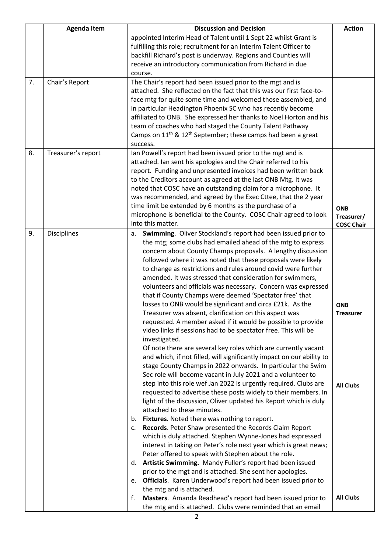|    | <b>Agenda Item</b> | <b>Discussion and Decision</b>                                                       |                   |
|----|--------------------|--------------------------------------------------------------------------------------|-------------------|
|    |                    | appointed Interim Head of Talent until 1 Sept 22 whilst Grant is                     |                   |
|    |                    | fulfilling this role; recruitment for an Interim Talent Officer to                   |                   |
|    |                    | backfill Richard's post is underway. Regions and Counties will                       |                   |
|    |                    | receive an introductory communication from Richard in due                            |                   |
|    |                    | course.                                                                              |                   |
| 7. | Chair's Report     | The Chair's report had been issued prior to the mgt and is                           |                   |
|    |                    | attached. She reflected on the fact that this was our first face-to-                 |                   |
|    |                    | face mtg for quite some time and welcomed those assembled, and                       |                   |
|    |                    | in particular Headington Phoenix SC who has recently become                          |                   |
|    |                    |                                                                                      |                   |
|    |                    | affiliated to ONB. She expressed her thanks to Noel Horton and his                   |                   |
|    |                    | team of coaches who had staged the County Talent Pathway                             |                   |
|    |                    | Camps on 11 <sup>th</sup> & 12 <sup>th</sup> September; these camps had been a great |                   |
|    |                    | success.                                                                             |                   |
| 8. | Treasurer's report | Ian Powell's report had been issued prior to the mgt and is                          |                   |
|    |                    | attached. Ian sent his apologies and the Chair referred to his                       |                   |
|    |                    | report. Funding and unpresented invoices had been written back                       |                   |
|    |                    | to the Creditors account as agreed at the last ONB Mtg. It was                       |                   |
|    |                    | noted that COSC have an outstanding claim for a microphone. It                       |                   |
|    |                    | was recommended, and agreed by the Exec Cttee, that the 2 year                       |                   |
|    |                    | time limit be extended by 6 months as the purchase of a                              | <b>ONB</b>        |
|    |                    | microphone is beneficial to the County. COSC Chair agreed to look                    | Treasurer/        |
|    |                    | into this matter.                                                                    | <b>COSC Chair</b> |
| 9. | <b>Disciplines</b> | Swimming. Oliver Stockland's report had been issued prior to<br>а.                   |                   |
|    |                    | the mtg; some clubs had emailed ahead of the mtg to express                          |                   |
|    |                    | concern about County Champs proposals. A lengthy discussion                          |                   |
|    |                    | followed where it was noted that these proposals were likely                         |                   |
|    |                    | to change as restrictions and rules around covid were further                        |                   |
|    |                    | amended. It was stressed that consideration for swimmers,                            |                   |
|    |                    | volunteers and officials was necessary. Concern was expressed                        |                   |
|    |                    | that if County Champs were deemed 'Spectator free' that                              |                   |
|    |                    | losses to ONB would be significant and circa £21k. As the                            | <b>ONB</b>        |
|    |                    | Treasurer was absent, clarification on this aspect was                               | <b>Treasurer</b>  |
|    |                    | requested. A member asked if it would be possible to provide                         |                   |
|    |                    | video links if sessions had to be spectator free. This will be                       |                   |
|    |                    | investigated.                                                                        |                   |
|    |                    | Of note there are several key roles which are currently vacant                       |                   |
|    |                    | and which, if not filled, will significantly impact on our ability to                |                   |
|    |                    | stage County Champs in 2022 onwards. In particular the Swim                          |                   |
|    |                    | Sec role will become vacant in July 2021 and a volunteer to                          |                   |
|    |                    | step into this role wef Jan 2022 is urgently required. Clubs are                     |                   |
|    |                    | requested to advertise these posts widely to their members. In                       | <b>All Clubs</b>  |
|    |                    | light of the discussion, Oliver updated his Report which is duly                     |                   |
|    |                    | attached to these minutes.                                                           |                   |
|    |                    |                                                                                      |                   |
|    |                    | b. Fixtures. Noted there was nothing to report.                                      |                   |
|    |                    | Records. Peter Shaw presented the Records Claim Report<br>c.                         |                   |
|    |                    | which is duly attached. Stephen Wynne-Jones had expressed                            |                   |
|    |                    | interest in taking on Peter's role next year which is great news;                    |                   |
|    |                    | Peter offered to speak with Stephen about the role.                                  |                   |
|    |                    | d. Artistic Swimming. Mandy Fuller's report had been issued                          |                   |
|    |                    | prior to the mgt and is attached. She sent her apologies.                            |                   |
|    |                    | Officials. Karen Underwood's report had been issued prior to<br>e.                   |                   |
|    |                    | the mtg and is attached.                                                             |                   |
|    |                    | Masters. Amanda Readhead's report had been issued prior to<br>f.                     | <b>All Clubs</b>  |
|    |                    | the mtg and is attached. Clubs were reminded that an email                           |                   |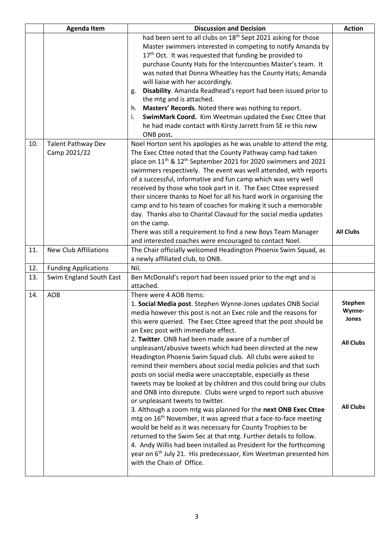|     | <b>Agenda Item</b>           | <b>Discussion and Decision</b>                                                            |                  |
|-----|------------------------------|-------------------------------------------------------------------------------------------|------------------|
|     |                              | had been sent to all clubs on 18 <sup>th</sup> Sept 2021 asking for those                 |                  |
|     |                              | Master swimmers interested in competing to notify Amanda by                               |                  |
|     |                              | 17th Oct. It was requested that funding be provided to                                    |                  |
|     |                              | purchase County Hats for the Intercounties Master's team. It                              |                  |
|     |                              | was noted that Donna Wheatley has the County Hats; Amanda                                 |                  |
|     |                              | will liaise with her accordingly.                                                         |                  |
|     |                              | Disability. Amanda Readhead's report had been issued prior to<br>g.                       |                  |
|     |                              | the mtg and is attached.                                                                  |                  |
|     |                              | Masters' Records. Noted there was nothing to report.<br>h.                                |                  |
|     |                              | SwimMark Coord. Kim Weetman updated the Exec Cttee that<br>i.                             |                  |
|     |                              | he had made contact with Kirsty Jarrett from SE re this new                               |                  |
|     |                              | ONB post.                                                                                 |                  |
| 10. | <b>Talent Pathway Dev</b>    | Noel Horton sent his apologies as he was unable to attend the mtg.                        |                  |
|     | Camp 2021/22                 | The Exec Cttee noted that the County Pathway camp had taken                               |                  |
|     |                              | place on 11 <sup>th</sup> & 12 <sup>th</sup> September 2021 for 2020 swimmers and 2021    |                  |
|     |                              | swimmers respectively. The event was well attended, with reports                          |                  |
|     |                              | of a successful, informative and fun camp which was very well                             |                  |
|     |                              | received by those who took part in it. The Exec Cttee expressed                           |                  |
|     |                              | their sincere thanks to Noel for all his hard work in organising the                      |                  |
|     |                              | camp and to his team of coaches for making it such a memorable                            |                  |
|     |                              | day. Thanks also to Chantal Clavaud for the social media updates                          |                  |
|     |                              | on the camp.                                                                              |                  |
|     |                              | There was still a requirement to find a new Boys Team Manager                             | <b>All Clubs</b> |
|     |                              | and interested coaches were encouraged to contact Noel.                                   |                  |
| 11. | <b>New Club Affiliations</b> | The Chair officially welcomed Headington Phoenix Swim Squad, as                           |                  |
|     |                              | a newly affiliated club, to ONB.                                                          |                  |
| 12. | <b>Funding Applications</b>  | Nil.                                                                                      |                  |
| 13. | Swim England South East      | Ben McDonald's report had been issued prior to the mgt and is                             |                  |
|     |                              | attached.                                                                                 |                  |
| 14. | <b>AOB</b>                   | There were 4 AOB Items:                                                                   | <b>Stephen</b>   |
|     |                              | 1. Social Media post. Stephen Wynne-Jones updates ONB Social                              | Wynne-           |
|     |                              | media however this post is not an Exec role and the reasons for                           | Jones            |
|     |                              | this were queried. The Exec Cttee agreed that the post should be                          |                  |
|     |                              | an Exec post with immediate effect.<br>2. Twitter. ONB had been made aware of a number of |                  |
|     |                              | unpleasant/abusive tweets which had been directed at the new                              | <b>All Clubs</b> |
|     |                              | Headington Phoenix Swim Squad club. All clubs were asked to                               |                  |
|     |                              | remind their members about social media policies and that such                            |                  |
|     |                              | posts on social media were unacceptable, especially as these                              |                  |
|     |                              | tweets may be looked at by children and this could bring our clubs                        |                  |
|     |                              | and ONB into disrepute. Clubs were urged to report such abusive                           |                  |
|     |                              | or unpleasant tweets to twitter.                                                          |                  |
|     |                              | 3. Although a zoom mtg was planned for the next ONB Exec Cttee                            | <b>All Clubs</b> |
|     |                              | mtg on 16 <sup>th</sup> November, it was agreed that a face-to-face meeting               |                  |
|     |                              | would be held as it was necessary for County Trophies to be                               |                  |
|     |                              | returned to the Swim Sec at that mtg. Further details to follow.                          |                  |
|     |                              | 4. Andy Willis had been installed as President for the forthcoming                        |                  |
|     |                              | year on 6 <sup>th</sup> July 21. His predecessaor, Kim Weetman presented him              |                  |
|     |                              | with the Chain of Office.                                                                 |                  |
|     |                              |                                                                                           |                  |